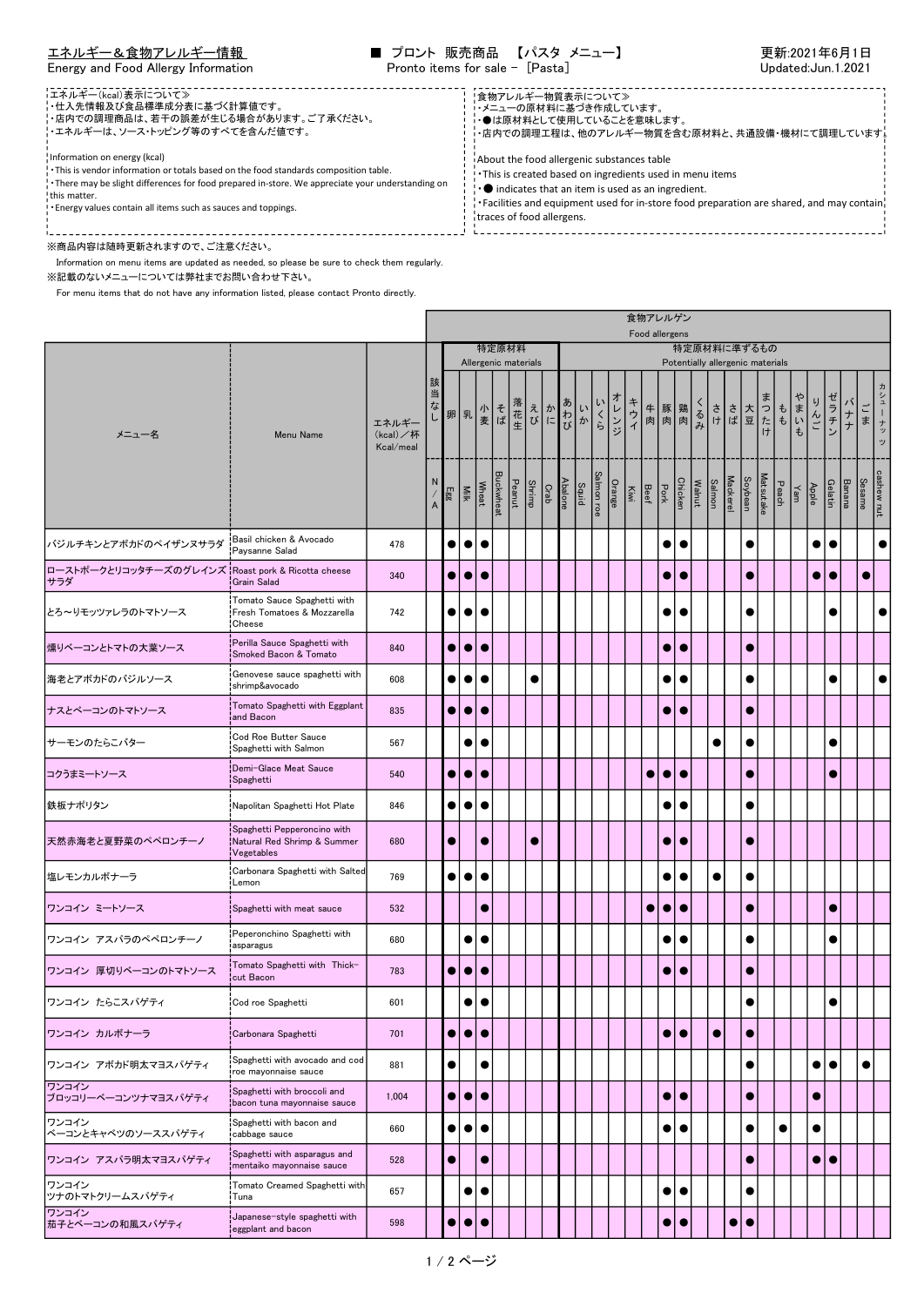## エ<u>ネルギー&食物アレルギー情報</u> ■ プロント 販売商品 【パスタ メニュー】 更新:2021年6月1日 Energy and Food Allergy Information Pronto items for sale - [Pasta] Pronto items for sale - [Pasta]

食物アレルゲン

| ■エネルギー(kcal)表示について≫<br>- 仕入先情報及び食品標準成分表に基づく計算値です。<br>¦・店内での調理商品は、若干の誤差が生じる場合があります。ご了承ください。<br>'・エネルギーは、ソース・トッピング等のすべてを含んだ値です。<br>Information on energy (kcal)<br>. This is vendor information or totals based on the food standards composition table.<br>. There may be slight differences for food prepared in-store. We appreciate your understanding on<br>this matter.<br>! Energy values contain all items such as sauces and toppings. | !食物アレルギー物質表示について≫<br>・・メニューの原材料に基づき作成しています。<br>・●は原材料として使用していることを意味します。<br>・店内での調理工程は、他のアレルギー物質を含む原材料と、共通設備・機材にて調理しています。<br>About the food allergenic substances table<br>. This is created based on ingredients used in menu items<br>$\cdot \bullet$ indicates that an item is used as an ingredient.<br>Facilities and equipment used for in-store food preparation are shared, and may contain.<br>traces of food allergens. |  |
|-----------------------------------------------------------------------------------------------------------------------------------------------------------------------------------------------------------------------------------------------------------------------------------------------------------------------------------------------------------------------------------------------------------------------------------------------|----------------------------------------------------------------------------------------------------------------------------------------------------------------------------------------------------------------------------------------------------------------------------------------------------------------------------------------------------------------------------------------------------------------------------------|--|
| ※商品内容は随時更新されますので、ご注意ください。                                                                                                                                                                                                                                                                                                                                                                                                                     |                                                                                                                                                                                                                                                                                                                                                                                                                                  |  |

Г

Information on menu items are updated as needed, so please be sure to check them regularly.

※記載のないメニューについては弊社までお問い合わせ下さい。

For menu items that do not have any information listed, please contact Pronto directly.

|                              |                                                                          |                                |                                |           |             |                               |                              |        |               |                 |       |            |        |              |           | Food allergens |           |        |           |                                                 |           |                  |                                                   |          |           |           |               |               |                           |
|------------------------------|--------------------------------------------------------------------------|--------------------------------|--------------------------------|-----------|-------------|-------------------------------|------------------------------|--------|---------------|-----------------|-------|------------|--------|--------------|-----------|----------------|-----------|--------|-----------|-------------------------------------------------|-----------|------------------|---------------------------------------------------|----------|-----------|-----------|---------------|---------------|---------------------------|
| メニュー名<br>Menu Name           |                                                                          |                                |                                |           |             | 特定原材料<br>Allergenic materials |                              |        |               |                 |       |            |        |              |           |                |           |        |           | 特定原材料に準ずるもの<br>Potentially allergenic materials |           |                  |                                                   |          |           |           |               |               |                           |
|                              |                                                                          | エネルギー<br>(kcal)/杯<br>Kcal/meal | 該当<br>なし                       |           |             |                               | 卵   乳   水   そ<br>  乳   麦   ば | 落花生    |               | えか<br>びに        | あわびか  | いくら        | オレンジ   | キウイ          |           | 牛 豚 鶏<br>肉 肉 肉 |           | くるみ    | さは        |                                                 | 大豆        | ったけ              | $\overset{\text{\tiny{f}}}{\ ^{\text{\tiny{f}}}}$ | ゃ<br>まいも | りんご       | ゼラチン      | バナナ           | ごま            | ヵ<br>シュ<br>Ī.<br>・ナッ<br>ッ |
|                              |                                                                          |                                | N<br>$\boldsymbol{\mathsf{A}}$ | Egg       | <b>Milk</b> | Wheat                         | <b>Buckwheat</b>             | Peanut | <b>Shrimp</b> | Abalone<br>Crab | Squid | Salmon roe | Orange | $\mathbb{R}$ | Beef      | ຫ້             | Chicken   | Walnut | Salmon    | <b>Mackerel</b>                                 | Soybean   | <b>Matsutake</b> | Peach                                             | Yam      | Apple     | Gelatin   | <b>Banana</b> | <b>Sesame</b> | cashew nut                |
| バジルチキンとアボカドのペイザンヌサラダ         | Basil chicken & Avocado<br>Paysanne Salad                                | 478                            |                                | $\bullet$ | $\bullet$   | $\bullet$                     |                              |        |               |                 |       |            |        |              |           | $\bullet$      |           |        |           |                                                 | $\bullet$ |                  |                                                   |          | $\bullet$ | $\bullet$ |               |               | $\bullet$                 |
| ローストポークとリコッタチーズのグレインズ<br>サラダ | Roast pork & Ricotta cheese<br>Grain Salad                               | 340                            |                                | $\bullet$ | $\bullet$   | $\bullet$                     |                              |        |               |                 |       |            |        |              |           | $\bullet$      | $\bullet$ |        |           |                                                 | $\bullet$ |                  |                                                   |          | $\bullet$ | $\bullet$ |               | $\bullet$     |                           |
| とろ~りモッツァレラのトマトソース            | Tomato Sauce Spaghetti with<br>Fresh Tomatoes & Mozzarella<br>Cheese     | 742                            |                                | $\bullet$ | $\bullet$   |                               |                              |        |               |                 |       |            |        |              |           | $\bullet$      |           |        |           |                                                 | $\bullet$ |                  |                                                   |          |           |           |               |               | $\bullet$                 |
| 燻りベーコンとトマトの大葉ソース             | Perilla Sauce Spaghetti with<br>Smoked Bacon & Tomato                    | 840                            |                                | $\bullet$ | $\bullet$   | $\bullet$                     |                              |        |               |                 |       |            |        |              |           | $\bullet$      | $\bullet$ |        |           |                                                 | $\bullet$ |                  |                                                   |          |           |           |               |               |                           |
| 海老とアボカドのバジルソース               | Genovese sauce spaghetti with<br>shrimp&avocado                          | 608                            |                                | $\bullet$ | $\bullet$   | $\bullet$                     |                              |        | $\bullet$     |                 |       |            |        |              |           | $\bullet$      |           |        |           |                                                 | $\bullet$ |                  |                                                   |          |           | $\bullet$ |               |               | $\bullet$                 |
| ナスとベーコンのトマトソース               | Tomato Spaghetti with Eggplant<br>and Bacon                              | 835                            |                                | $\bullet$ | $\bullet$   | $\bullet$                     |                              |        |               |                 |       |            |        |              |           | $\bullet$      | $\bullet$ |        |           |                                                 | $\bullet$ |                  |                                                   |          |           |           |               |               |                           |
| サーモンのたらこバター                  | Cod Roe Butter Sauce<br>Spaghetti with Salmon                            | 567                            |                                |           | $\bullet$   | $\bullet$                     |                              |        |               |                 |       |            |        |              |           |                |           |        | €         |                                                 | $\bullet$ |                  |                                                   |          |           | $\bullet$ |               |               |                           |
| コクうまミートソース                   | Demi-Glace Meat Sauce<br>Spaghetti                                       | 540                            |                                | 0         | $\bullet$   | $\bullet$                     |                              |        |               |                 |       |            |        |              | $\bullet$ | $\bullet$      | $\bullet$ |        |           |                                                 | $\bullet$ |                  |                                                   |          |           | G         |               |               |                           |
| 鉄板ナポリタン                      | Napolitan Spaghetti Hot Plate                                            | 846                            |                                | $\bullet$ | $\bullet$   |                               |                              |        |               |                 |       |            |        |              |           | $\bullet$      |           |        |           |                                                 | $\bullet$ |                  |                                                   |          |           |           |               |               |                           |
| 天然赤海老と夏野菜のペペロンチーノ            | Spaghetti Pepperoncino with<br>Natural Red Shrimp & Summer<br>Vegetables | 680                            |                                | $\bullet$ |             |                               |                              |        | $\bullet$     |                 |       |            |        |              |           | $\bullet$      | $\bullet$ |        |           |                                                 | $\bullet$ |                  |                                                   |          |           |           |               |               |                           |
| 塩レモンカルボナーラ                   | Carbonara Spaghetti with Salted<br>Lemon                                 | 769                            |                                | $\bullet$ | $\bullet$   | $\bullet$                     |                              |        |               |                 |       |            |        |              |           | $\bullet$      |           |        | e         |                                                 | $\bullet$ |                  |                                                   |          |           |           |               |               |                           |
| ワンコイン ミートソース                 | Spaghetti with meat sauce                                                | 532                            |                                |           |             | $\bullet$                     |                              |        |               |                 |       |            |        |              | $\bullet$ | $\bullet$      | $\bullet$ |        |           |                                                 | $\bullet$ |                  |                                                   |          |           |           |               |               |                           |
| ワンコイン アスパラのペペロンチーノ           | Peperonchino Spaghetti with<br>asparagus                                 | 680                            |                                |           | $\bullet$   | $\bullet$                     |                              |        |               |                 |       |            |        |              |           | $\bullet$      |           |        |           |                                                 | $\bullet$ |                  |                                                   |          |           |           |               |               |                           |
| ワンコイン 厚切りベーコンのトマトソース         | Tomato Spaghetti with Thick-<br>cut Bacon                                | 783                            |                                | $\bullet$ | $\bullet$   | $\bullet$                     |                              |        |               |                 |       |            |        |              |           | $\bullet$      | $\bullet$ |        |           |                                                 | $\bullet$ |                  |                                                   |          |           |           |               |               |                           |
| ワンコイン たらこスパゲティ               | Cod roe Spaghetti                                                        | 601                            |                                |           | $\bullet$   |                               |                              |        |               |                 |       |            |        |              |           |                |           |        |           |                                                 | $\bullet$ |                  |                                                   |          |           |           |               |               |                           |
| ワンコイン カルボナーラ                 | Carbonara Spaghetti                                                      | 701                            |                                | $\bullet$ |             | $\bullet\bullet$              |                              |        |               |                 |       |            |        |              |           | $\bullet$      | $\bullet$ |        | $\bullet$ |                                                 | $\bullet$ |                  |                                                   |          |           |           |               |               |                           |
| ワンコイン アボカド明太マヨスパゲティ          | Spaghetti with avocado and cod<br>roe mayonnaise sauce                   | 881                            |                                | $\bullet$ |             | $\bullet$                     |                              |        |               |                 |       |            |        |              |           |                |           |        |           |                                                 | $\bullet$ |                  |                                                   |          | $\bullet$ | $\bullet$ |               | $\bullet$     |                           |
| ワンコイン<br>ブロッコリーベーコンツナマヨスパゲティ | Spaghetti with broccoli and<br>bacon tuna mayonnaise sauce               | 1,004                          |                                | $\bullet$ | $\bullet$   | $\bullet$                     |                              |        |               |                 |       |            |        |              |           | $\bullet$      | $\bullet$ |        |           |                                                 | $\bullet$ |                  |                                                   |          | $\bullet$ |           |               |               |                           |
| ワンコイン<br>ベーコンとキャベツのソーススパゲティ  | Spaghetti with bacon and<br>cabbage sauce                                | 660                            |                                | $\bullet$ | $\bullet$   | $\bullet$                     |                              |        |               |                 |       |            |        |              |           | $\bullet$      | $\bullet$ |        |           |                                                 | $\bullet$ |                  | $\bullet$                                         |          | $\bullet$ |           |               |               |                           |
| ワンコイン アスパラ明太マヨスパゲティ          | Spaghetti with asparagus and<br>mentaiko mayonnaise sauce                | 528                            |                                | $\bullet$ |             | $\bullet$                     |                              |        |               |                 |       |            |        |              |           |                |           |        |           |                                                 | $\bullet$ |                  |                                                   |          | $\bullet$ | $\bullet$ |               |               |                           |
| ワンコイン<br>ツナのトマトクリームスパゲティ     | Tomato Creamed Spaghetti with<br>Tuna                                    | 657                            |                                |           | $\bullet$   | $\bullet$                     |                              |        |               |                 |       |            |        |              |           | $\bullet$      | $\bullet$ |        |           |                                                 | $\bullet$ |                  |                                                   |          |           |           |               |               |                           |
| ワンコイン<br> 茄子とベーコンの和風スパゲティ    | Japanese-style spaghetti with<br>eggplant and bacon                      | 598                            |                                | $\bullet$ | $\bullet$   | $\bullet$                     |                              |        |               |                 |       |            |        |              |           | $\bullet$      | $\bullet$ |        |           | $\bullet$                                       | $\bullet$ |                  |                                                   |          |           |           |               |               |                           |
|                              |                                                                          |                                |                                |           |             |                               |                              |        |               |                 |       |            |        |              |           |                |           |        |           |                                                 |           |                  |                                                   |          |           |           |               |               |                           |